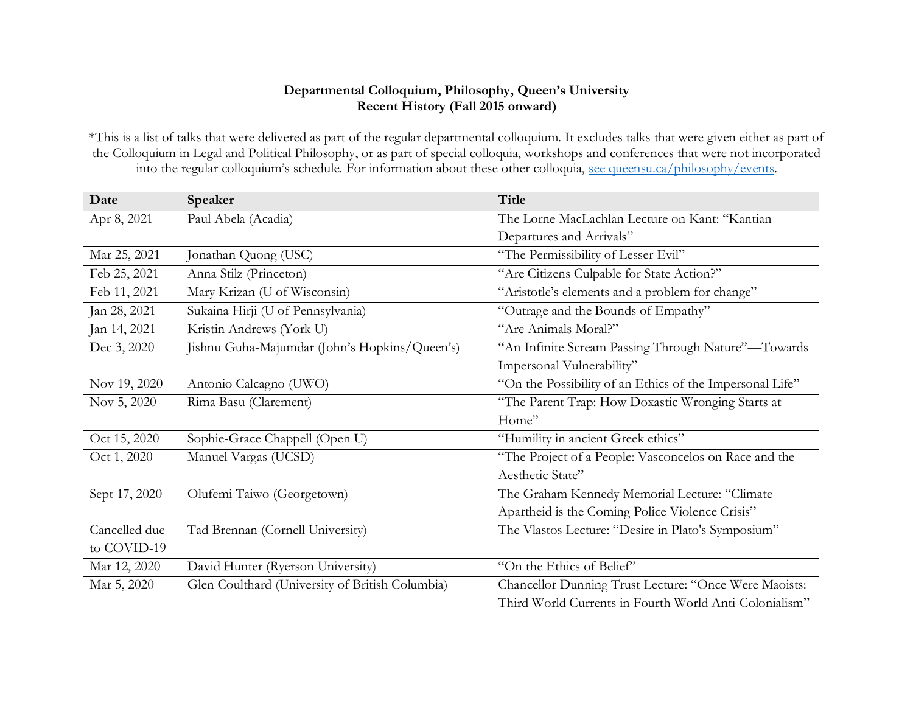## **Departmental Colloquium, Philosophy, Queen's University Recent History (Fall 2015 onward)**

\*This is a list of talks that were delivered as part of the regular departmental colloquium. It excludes talks that were given either as part of the Colloquium in Legal and Political Philosophy, or as part of special colloquia, workshops and conferences that were not incorporated into the regular colloquium's schedule. For information about these other colloquia, [see queensu.ca/philosophy/events.](https://www.queensu.ca/philosophy/events)

| Date          | Speaker                                         | <b>Title</b>                                             |
|---------------|-------------------------------------------------|----------------------------------------------------------|
| Apr 8, 2021   | Paul Abela (Acadia)                             | The Lorne MacLachlan Lecture on Kant: "Kantian           |
|               |                                                 | Departures and Arrivals"                                 |
| Mar 25, 2021  | Jonathan Quong (USC)                            | "The Permissibility of Lesser Evil"                      |
| Feb 25, 2021  | Anna Stilz (Princeton)                          | "Are Citizens Culpable for State Action?"                |
| Feb 11, 2021  | Mary Krizan (U of Wisconsin)                    | "Aristotle's elements and a problem for change"          |
| Jan 28, 2021  | Sukaina Hirji (U of Pennsylvania)               | "Outrage and the Bounds of Empathy"                      |
| Jan 14, 2021  | Kristin Andrews (York U)                        | "Are Animals Moral?"                                     |
| Dec 3, 2020   | Jishnu Guha-Majumdar (John's Hopkins/Queen's)   | "An Infinite Scream Passing Through Nature"-Towards      |
|               |                                                 | Impersonal Vulnerability"                                |
| Nov 19, 2020  | Antonio Calcagno (UWO)                          | "On the Possibility of an Ethics of the Impersonal Life" |
| Nov 5, 2020   | Rima Basu (Clarement)                           | "The Parent Trap: How Doxastic Wronging Starts at        |
|               |                                                 | Home"                                                    |
| Oct 15, 2020  | Sophie-Grace Chappell (Open U)                  | "Humility in ancient Greek ethics"                       |
| Oct 1, 2020   | Manuel Vargas (UCSD)                            | "The Project of a People: Vasconcelos on Race and the    |
|               |                                                 | Aesthetic State"                                         |
| Sept 17, 2020 | Olufemi Taiwo (Georgetown)                      | The Graham Kennedy Memorial Lecture: "Climate            |
|               |                                                 | Apartheid is the Coming Police Violence Crisis"          |
| Cancelled due | Tad Brennan (Cornell University)                | The Vlastos Lecture: "Desire in Plato's Symposium"       |
| to COVID-19   |                                                 |                                                          |
| Mar 12, 2020  | David Hunter (Ryerson University)               | "On the Ethics of Belief"                                |
| Mar 5, 2020   | Glen Coulthard (University of British Columbia) | Chancellor Dunning Trust Lecture: "Once Were Maoists:    |
|               |                                                 | Third World Currents in Fourth World Anti-Colonialism"   |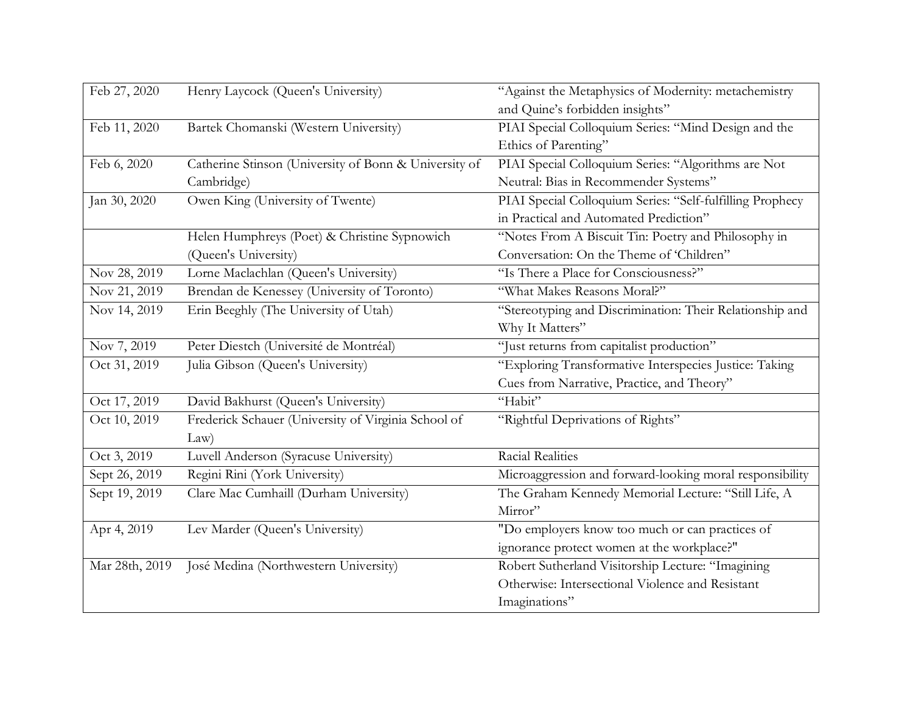| Feb 27, 2020   | Henry Laycock (Queen's University)                    | "Against the Metaphysics of Modernity: metachemistry      |
|----------------|-------------------------------------------------------|-----------------------------------------------------------|
|                |                                                       | and Quine's forbidden insights"                           |
| Feb 11, 2020   | Bartek Chomanski (Western University)                 | PIAI Special Colloquium Series: "Mind Design and the      |
|                |                                                       | Ethics of Parenting"                                      |
| Feb 6, 2020    | Catherine Stinson (University of Bonn & University of | PIAI Special Colloquium Series: "Algorithms are Not       |
|                | Cambridge)                                            | Neutral: Bias in Recommender Systems"                     |
| Jan 30, 2020   | Owen King (University of Twente)                      | PIAI Special Colloquium Series: "Self-fulfilling Prophecy |
|                |                                                       | in Practical and Automated Prediction"                    |
|                | Helen Humphreys (Poet) & Christine Sypnowich          | "Notes From A Biscuit Tin: Poetry and Philosophy in       |
|                | (Queen's University)                                  | Conversation: On the Theme of 'Children"                  |
| Nov 28, 2019   | Lorne Maclachlan (Queen's University)                 | "Is There a Place for Consciousness?"                     |
| Nov 21, 2019   | Brendan de Kenessey (University of Toronto)           | "What Makes Reasons Moral?"                               |
| Nov 14, 2019   | Erin Beeghly (The University of Utah)                 | "Stereotyping and Discrimination: Their Relationship and  |
|                |                                                       | Why It Matters"                                           |
| Nov 7, 2019    | Peter Diestch (Université de Montréal)                | "Just returns from capitalist production"                 |
| Oct 31, 2019   | Julia Gibson (Queen's University)                     | "Exploring Transformative Interspecies Justice: Taking    |
|                |                                                       | Cues from Narrative, Practice, and Theory"                |
| Oct 17, 2019   | David Bakhurst (Queen's University)                   | "Habit"                                                   |
| Oct 10, 2019   | Frederick Schauer (University of Virginia School of   | "Rightful Deprivations of Rights"                         |
|                | Law)                                                  |                                                           |
| Oct 3, 2019    | Luvell Anderson (Syracuse University)                 | Racial Realities                                          |
| Sept 26, 2019  | Regini Rini (York University)                         | Microaggression and forward-looking moral responsibility  |
| Sept 19, 2019  | Clare Mac Cumhaill (Durham University)                | The Graham Kennedy Memorial Lecture: "Still Life, A       |
|                |                                                       | Mirror"                                                   |
| Apr 4, 2019    | Lev Marder (Queen's University)                       | "Do employers know too much or can practices of           |
|                |                                                       | ignorance protect women at the workplace?"                |
| Mar 28th, 2019 | José Medina (Northwestern University)                 | Robert Sutherland Visitorship Lecture: "Imagining         |
|                |                                                       | Otherwise: Intersectional Violence and Resistant          |
|                |                                                       | Imaginations"                                             |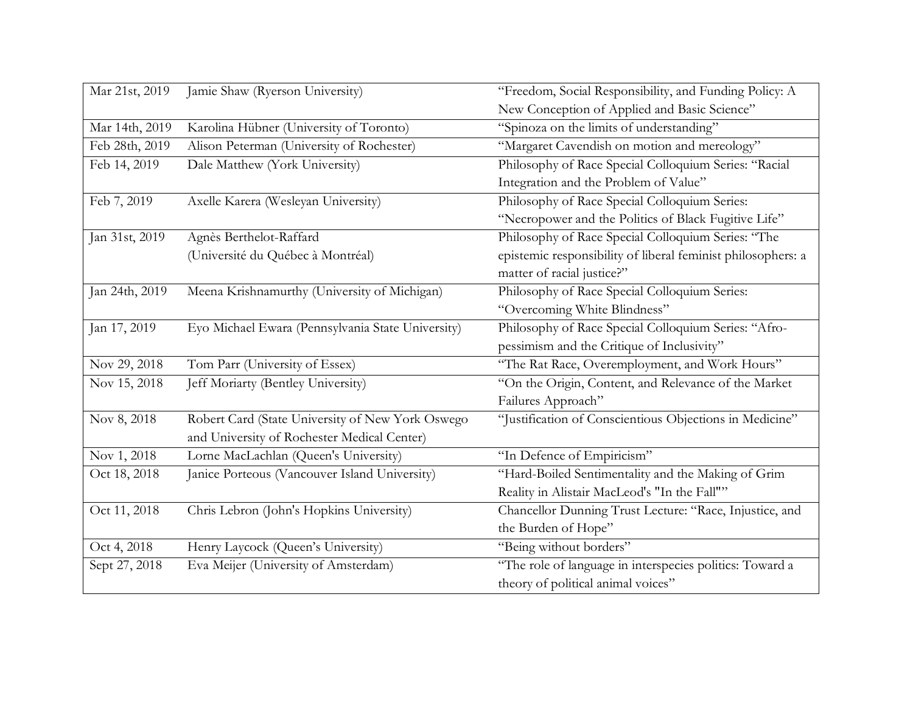| Mar 21st, 2019 | Jamie Shaw (Ryerson University)                   | "Freedom, Social Responsibility, and Funding Policy: A       |
|----------------|---------------------------------------------------|--------------------------------------------------------------|
|                |                                                   | New Conception of Applied and Basic Science"                 |
| Mar 14th, 2019 | Karolina Hübner (University of Toronto)           | "Spinoza on the limits of understanding"                     |
| Feb 28th, 2019 | Alison Peterman (University of Rochester)         | "Margaret Cavendish on motion and mereology"                 |
| Feb 14, 2019   | Dale Matthew (York University)                    | Philosophy of Race Special Colloquium Series: "Racial        |
|                |                                                   | Integration and the Problem of Value"                        |
| Feb 7, 2019    | Axelle Karera (Wesleyan University)               | Philosophy of Race Special Colloquium Series:                |
|                |                                                   | "Necropower and the Politics of Black Fugitive Life"         |
| Jan 31st, 2019 | Agnès Berthelot-Raffard                           | Philosophy of Race Special Colloquium Series: "The           |
|                | (Université du Québec à Montréal)                 | epistemic responsibility of liberal feminist philosophers: a |
|                |                                                   | matter of racial justice?"                                   |
| Jan 24th, 2019 | Meena Krishnamurthy (University of Michigan)      | Philosophy of Race Special Colloquium Series:                |
|                |                                                   | "Overcoming White Blindness"                                 |
| Jan 17, 2019   | Eyo Michael Ewara (Pennsylvania State University) | Philosophy of Race Special Colloquium Series: "Afro-         |
|                |                                                   | pessimism and the Critique of Inclusivity"                   |
| Nov 29, 2018   | Tom Parr (University of Essex)                    | "The Rat Race, Overemployment, and Work Hours"               |
| Nov 15, 2018   | Jeff Moriarty (Bentley University)                | "On the Origin, Content, and Relevance of the Market         |
|                |                                                   | Failures Approach"                                           |
| Nov 8, 2018    | Robert Card (State University of New York Oswego  | "Justification of Conscientious Objections in Medicine"      |
|                | and University of Rochester Medical Center)       |                                                              |
| Nov 1, 2018    | Lorne MacLachlan (Queen's University)             | "In Defence of Empiricism"                                   |
| Oct 18, 2018   | Janice Porteous (Vancouver Island University)     | "Hard-Boiled Sentimentality and the Making of Grim           |
|                |                                                   | Reality in Alistair MacLeod's "In the Fall""                 |
| Oct 11, 2018   | Chris Lebron (John's Hopkins University)          | Chancellor Dunning Trust Lecture: "Race, Injustice, and      |
|                |                                                   | the Burden of Hope"                                          |
| Oct 4, 2018    | Henry Laycock (Queen's University)                | "Being without borders"                                      |
| Sept 27, 2018  | Eva Meijer (University of Amsterdam)              | "The role of language in interspecies politics: Toward a     |
|                |                                                   | theory of political animal voices"                           |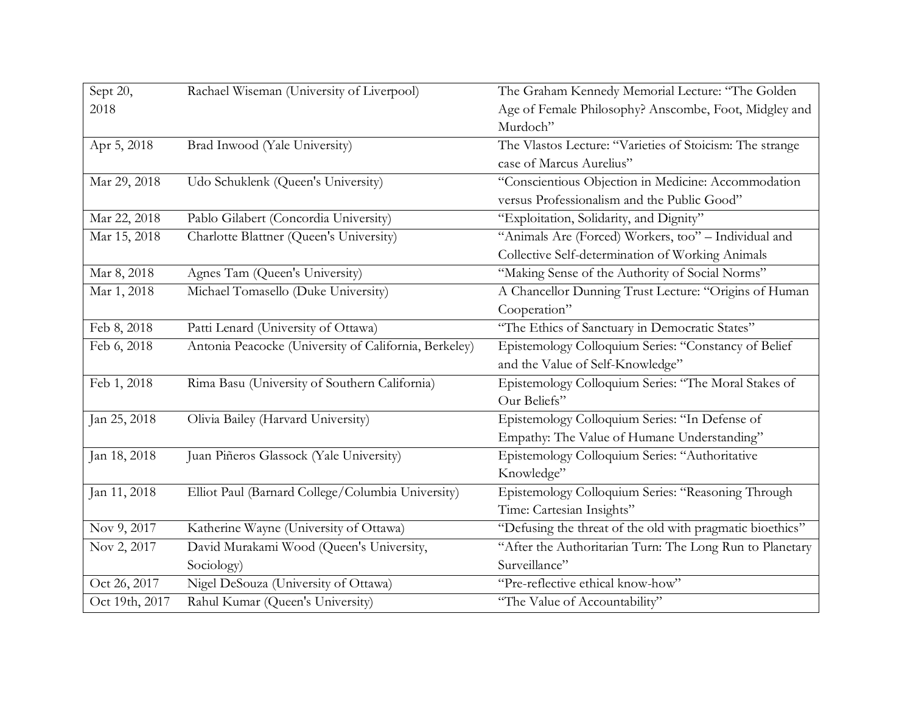| Sept 20,       | Rachael Wiseman (University of Liverpool)             | The Graham Kennedy Memorial Lecture: "The Golden          |
|----------------|-------------------------------------------------------|-----------------------------------------------------------|
| 2018           |                                                       | Age of Female Philosophy? Anscombe, Foot, Midgley and     |
|                |                                                       | Murdoch"                                                  |
| Apr 5, 2018    | Brad Inwood (Yale University)                         | The Vlastos Lecture: "Varieties of Stoicism: The strange  |
|                |                                                       | case of Marcus Aurelius"                                  |
| Mar 29, 2018   | Udo Schuklenk (Queen's University)                    | "Conscientious Objection in Medicine: Accommodation       |
|                |                                                       | versus Professionalism and the Public Good"               |
| Mar 22, 2018   | Pablo Gilabert (Concordia University)                 | "Exploitation, Solidarity, and Dignity"                   |
| Mar 15, 2018   | Charlotte Blattner (Queen's University)               | "Animals Are (Forced) Workers, too" - Individual and      |
|                |                                                       | Collective Self-determination of Working Animals          |
| Mar 8, 2018    | Agnes Tam (Queen's University)                        | "Making Sense of the Authority of Social Norms"           |
| Mar 1, 2018    | Michael Tomasello (Duke University)                   | A Chancellor Dunning Trust Lecture: "Origins of Human     |
|                |                                                       | Cooperation"                                              |
| Feb 8, 2018    | Patti Lenard (University of Ottawa)                   | "The Ethics of Sanctuary in Democratic States"            |
| Feb 6, 2018    | Antonia Peacocke (University of California, Berkeley) | Epistemology Colloquium Series: "Constancy of Belief      |
|                |                                                       | and the Value of Self-Knowledge"                          |
| Feb 1, 2018    | Rima Basu (University of Southern California)         | Epistemology Colloquium Series: "The Moral Stakes of      |
|                |                                                       | Our Beliefs"                                              |
| Jan 25, 2018   | Olivia Bailey (Harvard University)                    | Epistemology Colloquium Series: "In Defense of            |
|                |                                                       | Empathy: The Value of Humane Understanding"               |
| Jan 18, 2018   | Juan Piñeros Glassock (Yale University)               | Epistemology Colloquium Series: "Authoritative            |
|                |                                                       | Knowledge"                                                |
| Jan 11, 2018   | Elliot Paul (Barnard College/Columbia University)     | Epistemology Colloquium Series: "Reasoning Through        |
|                |                                                       | Time: Cartesian Insights"                                 |
| Nov 9, 2017    | Katherine Wayne (University of Ottawa)                | "Defusing the threat of the old with pragmatic bioethics" |
| Nov 2, 2017    | David Murakami Wood (Queen's University,              | "After the Authoritarian Turn: The Long Run to Planetary  |
|                | Sociology)                                            | Surveillance"                                             |
| Oct 26, 2017   | Nigel DeSouza (University of Ottawa)                  | "Pre-reflective ethical know-how"                         |
| Oct 19th, 2017 | Rahul Kumar (Queen's University)                      | "The Value of Accountability"                             |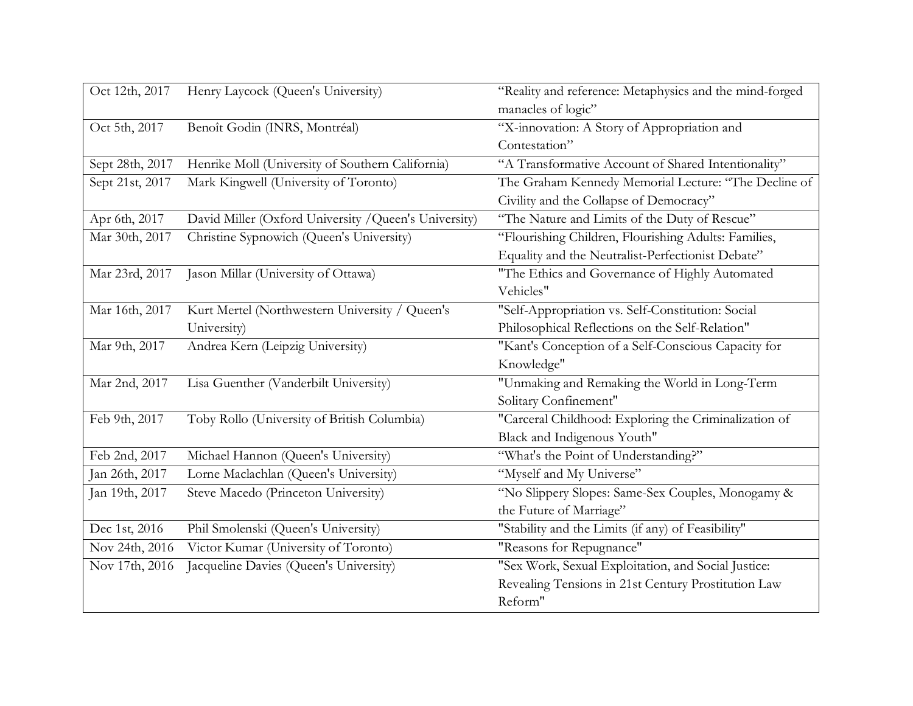| Oct 12th, 2017  | Henry Laycock (Queen's University)                    | "Reality and reference: Metaphysics and the mind-forged |
|-----------------|-------------------------------------------------------|---------------------------------------------------------|
|                 |                                                       | manacles of logic"                                      |
| Oct 5th, 2017   | Benoît Godin (INRS, Montréal)                         | "X-innovation: A Story of Appropriation and             |
|                 |                                                       | Contestation"                                           |
| Sept 28th, 2017 | Henrike Moll (University of Southern California)      | "A Transformative Account of Shared Intentionality"     |
| Sept 21st, 2017 | Mark Kingwell (University of Toronto)                 | The Graham Kennedy Memorial Lecture: "The Decline of    |
|                 |                                                       | Civility and the Collapse of Democracy"                 |
| Apr 6th, 2017   | David Miller (Oxford University / Queen's University) | "The Nature and Limits of the Duty of Rescue"           |
| Mar 30th, 2017  | Christine Sypnowich (Queen's University)              | "Flourishing Children, Flourishing Adults: Families,    |
|                 |                                                       | Equality and the Neutralist-Perfectionist Debate"       |
| Mar 23rd, 2017  | Jason Millar (University of Ottawa)                   | "The Ethics and Governance of Highly Automated          |
|                 |                                                       | Vehicles"                                               |
| Mar 16th, 2017  | Kurt Mertel (Northwestern University / Queen's        | "Self-Appropriation vs. Self-Constitution: Social       |
|                 | University)                                           | Philosophical Reflections on the Self-Relation"         |
| Mar 9th, 2017   | Andrea Kern (Leipzig University)                      | "Kant's Conception of a Self-Conscious Capacity for     |
|                 |                                                       | Knowledge"                                              |
| Mar 2nd, 2017   | Lisa Guenther (Vanderbilt University)                 | "Unmaking and Remaking the World in Long-Term           |
|                 |                                                       | Solitary Confinement"                                   |
| Feb 9th, 2017   | Toby Rollo (University of British Columbia)           | "Carceral Childhood: Exploring the Criminalization of   |
|                 |                                                       | Black and Indigenous Youth"                             |
| Feb 2nd, 2017   | Michael Hannon (Queen's University)                   | "What's the Point of Understanding?"                    |
| Jan 26th, 2017  | Lorne Maclachlan (Queen's University)                 | "Myself and My Universe"                                |
| Jan 19th, 2017  | Steve Macedo (Princeton University)                   | "No Slippery Slopes: Same-Sex Couples, Monogamy &       |
|                 |                                                       | the Future of Marriage"                                 |
| Dec 1st, 2016   | Phil Smolenski (Queen's University)                   | "Stability and the Limits (if any) of Feasibility"      |
| Nov 24th, 2016  | Victor Kumar (University of Toronto)                  | "Reasons for Repugnance"                                |
| Nov 17th, 2016  | Jacqueline Davies (Queen's University)                | "Sex Work, Sexual Exploitation, and Social Justice:     |
|                 |                                                       | Revealing Tensions in 21st Century Prostitution Law     |
|                 |                                                       | Reform"                                                 |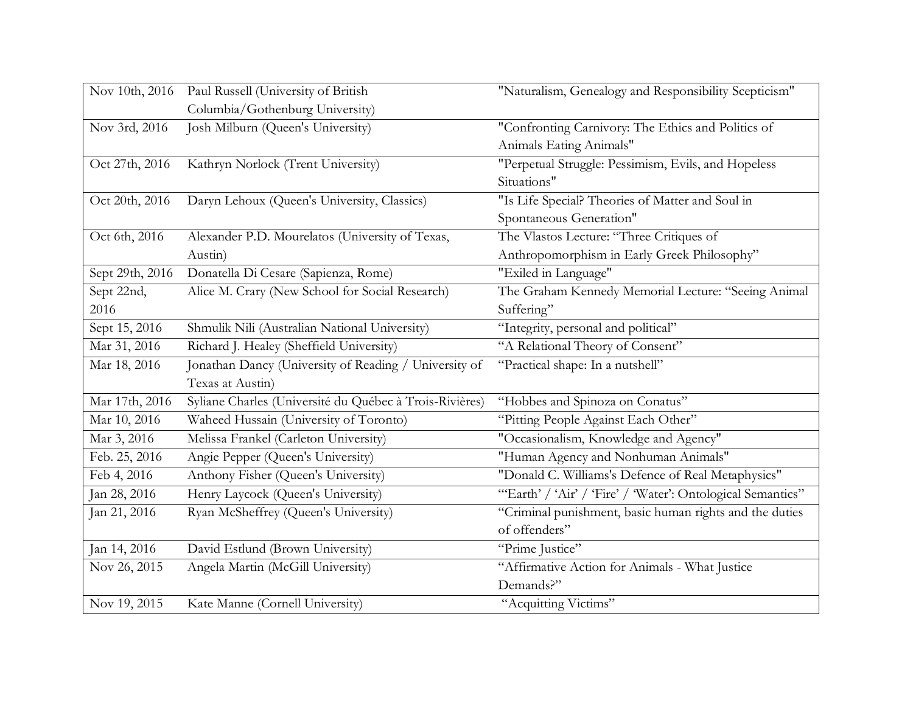| Nov 10th, 2016  | Paul Russell (University of British                     | "Naturalism, Genealogy and Responsibility Scepticism"      |
|-----------------|---------------------------------------------------------|------------------------------------------------------------|
|                 | Columbia/Gothenburg University)                         |                                                            |
| Nov 3rd, 2016   | Josh Milburn (Queen's University)                       | "Confronting Carnivory: The Ethics and Politics of         |
|                 |                                                         | Animals Eating Animals"                                    |
| Oct 27th, 2016  | Kathryn Norlock (Trent University)                      | "Perpetual Struggle: Pessimism, Evils, and Hopeless        |
|                 |                                                         | Situations"                                                |
| Oct 20th, 2016  | Daryn Lehoux (Queen's University, Classics)             | "Is Life Special? Theories of Matter and Soul in           |
|                 |                                                         | Spontaneous Generation"                                    |
| Oct 6th, 2016   | Alexander P.D. Mourelatos (University of Texas,         | The Vlastos Lecture: "Three Critiques of                   |
|                 | Austin)                                                 | Anthropomorphism in Early Greek Philosophy"                |
| Sept 29th, 2016 | Donatella Di Cesare (Sapienza, Rome)                    | "Exiled in Language"                                       |
| Sept 22nd,      | Alice M. Crary (New School for Social Research)         | The Graham Kennedy Memorial Lecture: "Seeing Animal        |
| 2016            |                                                         | Suffering"                                                 |
| Sept 15, 2016   | Shmulik Nili (Australian National University)           | "Integrity, personal and political"                        |
| Mar 31, 2016    | Richard J. Healey (Sheffield University)                | "A Relational Theory of Consent"                           |
| Mar 18, 2016    | Jonathan Dancy (University of Reading / University of   | "Practical shape: In a nutshell"                           |
|                 | Texas at Austin)                                        |                                                            |
| Mar 17th, 2016  | Syliane Charles (Université du Québec à Trois-Rivières) | "Hobbes and Spinoza on Conatus"                            |
| Mar 10, 2016    | Waheed Hussain (University of Toronto)                  | "Pitting People Against Each Other"                        |
| Mar 3, 2016     | Melissa Frankel (Carleton University)                   | "Occasionalism, Knowledge and Agency"                      |
| Feb. 25, 2016   | Angie Pepper (Queen's University)                       | "Human Agency and Nonhuman Animals"                        |
| Feb 4, 2016     | Anthony Fisher (Queen's University)                     | "Donald C. Williams's Defence of Real Metaphysics"         |
| Jan 28, 2016    | Henry Laycock (Queen's University)                      | "Earth' / 'Air' / 'Fire' / 'Water': Ontological Semantics" |
| Jan 21, 2016    | Ryan McSheffrey (Queen's University)                    | "Criminal punishment, basic human rights and the duties    |
|                 |                                                         | of offenders"                                              |
| Jan 14, 2016    | David Estlund (Brown University)                        | "Prime Justice"                                            |
| Nov 26, 2015    | Angela Martin (McGill University)                       | "Affirmative Action for Animals - What Justice             |
|                 |                                                         | Demands?"                                                  |
| Nov 19, 2015    | Kate Manne (Cornell University)                         | "Acquitting Victims"                                       |